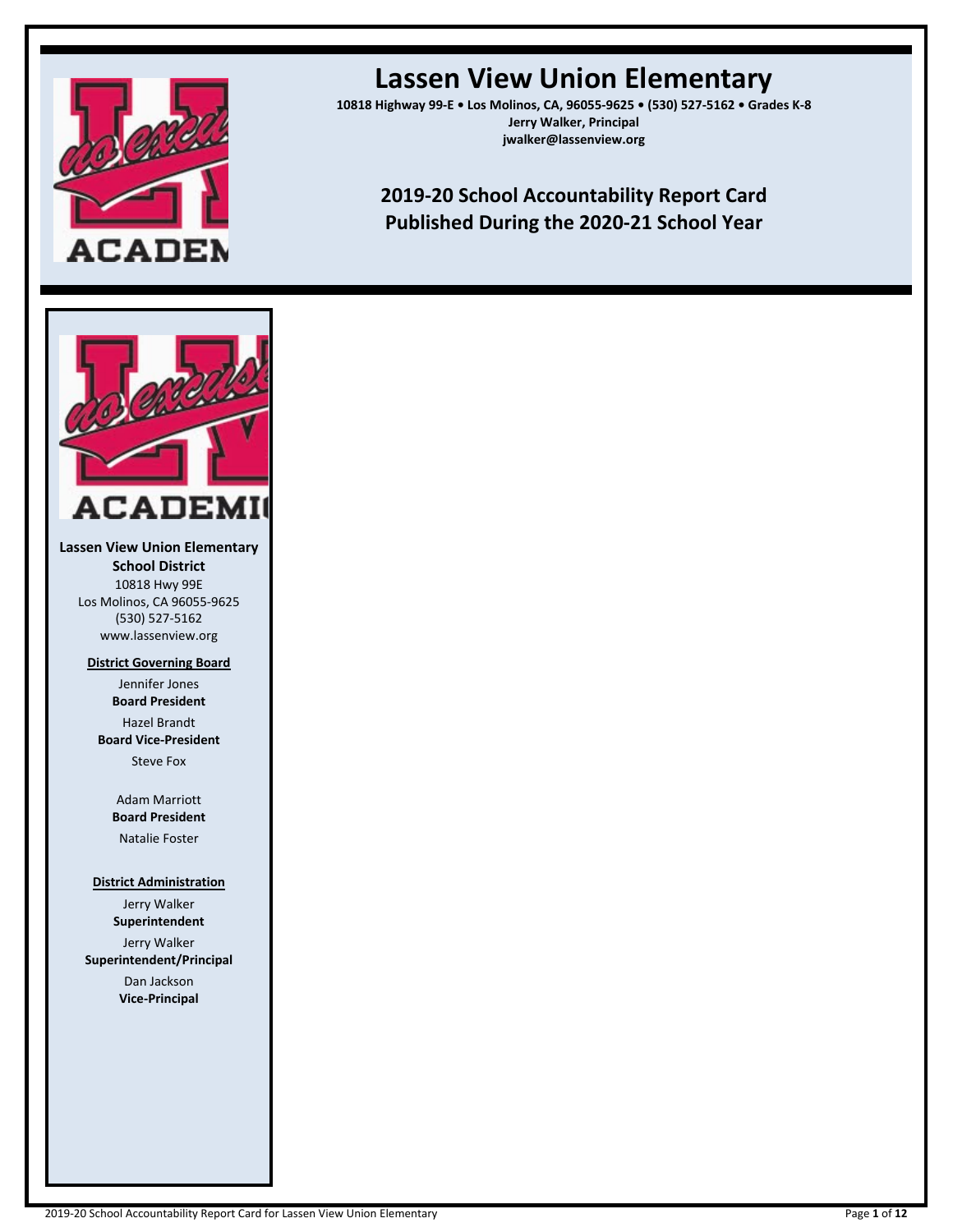

# **Lassen View Union Elementary**

**10818 Highway 99-E • Los Molinos, CA, 96055-9625 • (530) 527-5162 • Grades K-8 Jerry Walker, Principal jwalker@lassenview.org**

# **2019-20 School Accountability Report Card Published During the 2020-21 School Year**



**Lassen View Union Elementary School District** 10818 Hwy 99E Los Molinos, CA 96055-9625 (530) 527-5162 www.lassenview.org

**District Governing Board**

Jennifer Jones **Board President** Hazel Brandt **Board Vice-President** Steve Fox

> Adam Marriott **Board President**

Natalie Foster

#### **District Administration**

Jerry Walker **Superintendent** Jerry Walker **Superintendent/Principal** Dan Jackson

**Vice-Principal**

2019-20 School Accountability Report Card for Lassen View Union Elementary Page **1** of **12**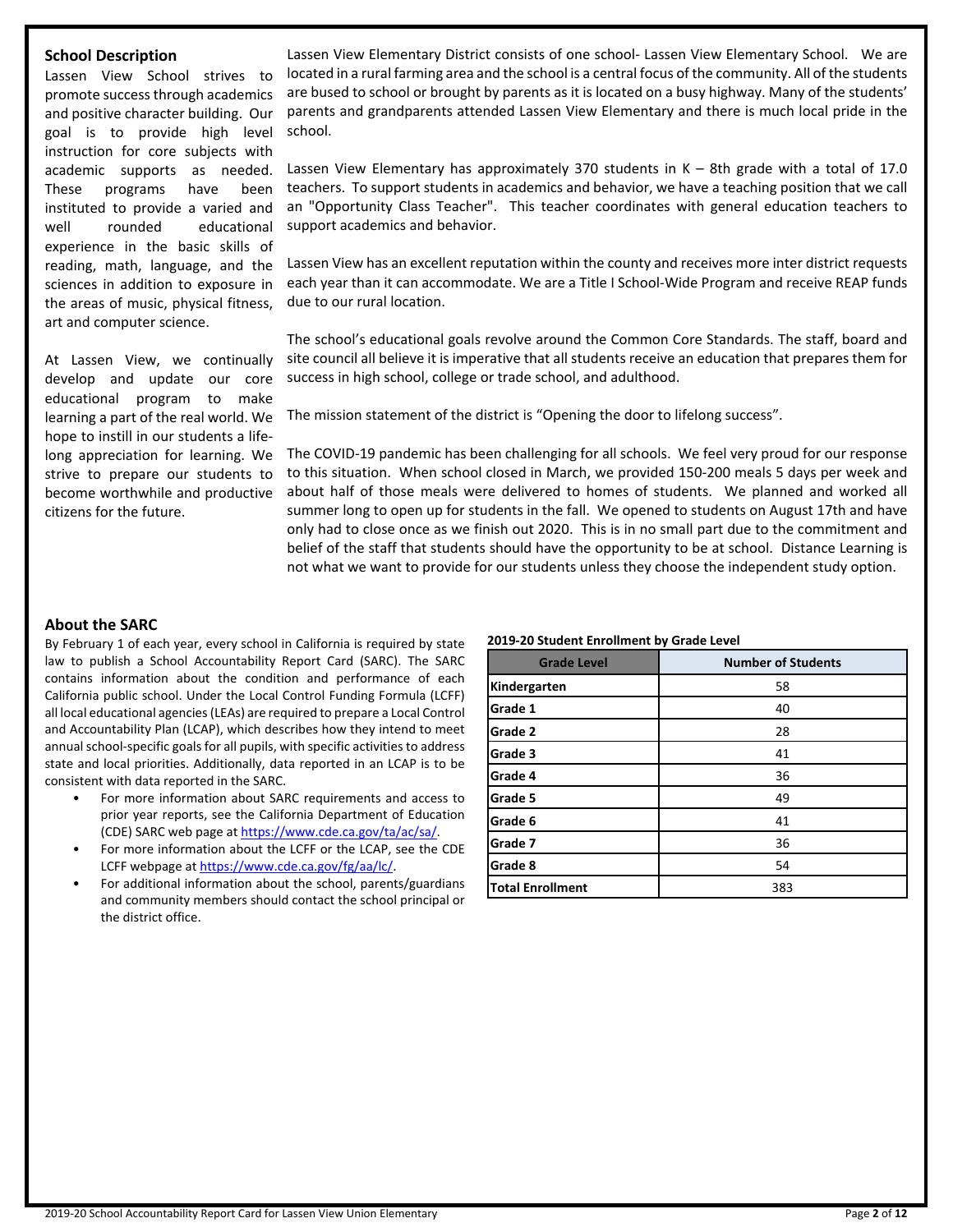#### **School Description**

Lassen View School strives to promote success through academics and positive character building. Our goal is to provide high level instruction for core subjects with academic supports as needed. These programs have been instituted to provide a varied and well rounded educational experience in the basic skills of reading, math, language, and the sciences in addition to exposure in the areas of music, physical fitness, art and computer science.

At Lassen View, we continually develop and update our core educational program to make learning a part of the real world. We hope to instill in our students a lifelong appreciation for learning. We strive to prepare our students to become worthwhile and productive citizens for the future.

Lassen View Elementary District consists of one school- Lassen View Elementary School. We are located in a rural farming area and the school is a central focus of the community. All of the students are bused to school or brought by parents as it is located on a busy highway. Many of the students' parents and grandparents attended Lassen View Elementary and there is much local pride in the school.

Lassen View Elementary has approximately 370 students in K – 8th grade with a total of 17.0 teachers. To support students in academics and behavior, we have a teaching position that we call an "Opportunity Class Teacher". This teacher coordinates with general education teachers to support academics and behavior.

Lassen View has an excellent reputation within the county and receives more inter district requests each year than it can accommodate. We are a Title I School-Wide Program and receive REAP funds due to our rural location.

The school's educational goals revolve around the Common Core Standards. The staff, board and site council all believe it is imperative that all students receive an education that prepares them for success in high school, college or trade school, and adulthood.

The mission statement of the district is "Opening the door to lifelong success".

The COVID-19 pandemic has been challenging for all schools. We feel very proud for our response to this situation. When school closed in March, we provided 150-200 meals 5 days per week and about half of those meals were delivered to homes of students. We planned and worked all summer long to open up for students in the fall. We opened to students on August 17th and have only had to close once as we finish out 2020. This is in no small part due to the commitment and belief of the staff that students should have the opportunity to be at school. Distance Learning is not what we want to provide for our students unless they choose the independent study option.

#### **About the SARC**

By February 1 of each year, every school in California is required by state law to publish a School Accountability Report Card (SARC). The SARC contains information about the condition and performance of each California public school. Under the Local Control Funding Formula (LCFF) all local educational agencies(LEAs) are required to prepare a Local Control and Accountability Plan (LCAP), which describes how they intend to meet annual school-specific goals for all pupils, with specific activities to address state and local priorities. Additionally, data reported in an LCAP is to be consistent with data reported in the SARC.

- For more information about SARC requirements and access to prior year reports, see the California Department of Education (CDE) SARC web page at [https://www.cde.ca.gov/ta/ac/sa/.](https://www.cde.ca.gov/ta/ac/sa/)
- For more information about the LCFF or the LCAP, see the CDE LCFF webpage at [https://www.cde.ca.gov/fg/aa/lc/.](https://www.cde.ca.gov/fg/aa/lc/)
- For additional information about the school, parents/guardians and community members should contact the school principal or the district office.

#### **2019-20 Student Enrollment by Grade Level**

| <b>Grade Level</b>      | <b>Number of Students</b> |
|-------------------------|---------------------------|
| Kindergarten            | 58                        |
| Grade 1                 | 40                        |
| Grade 2                 | 28                        |
| Grade 3                 | 41                        |
| Grade 4                 | 36                        |
| Grade 5                 | 49                        |
| Grade 6                 | 41                        |
| Grade 7                 | 36                        |
| Grade 8                 | 54                        |
| <b>Total Enrollment</b> | 383                       |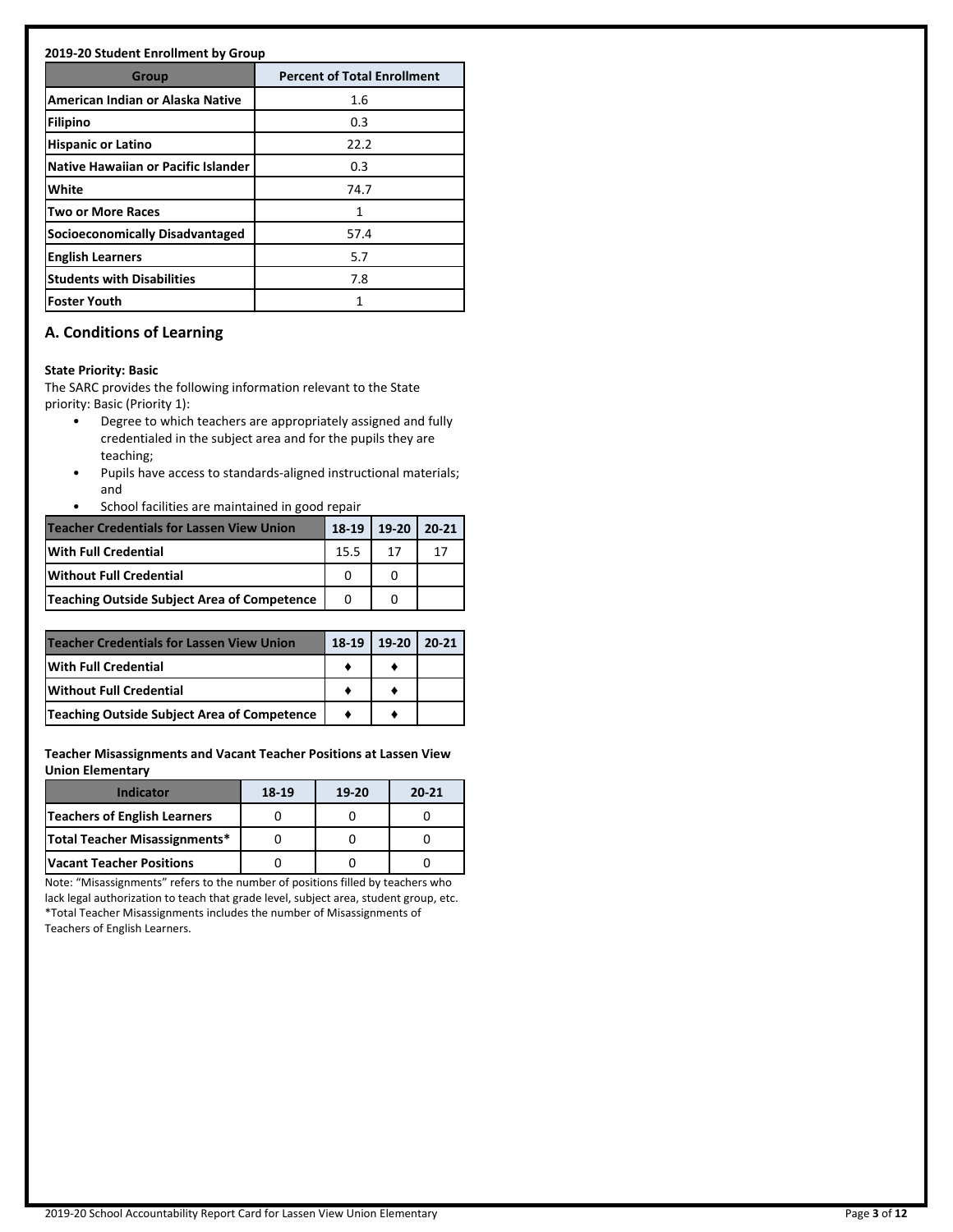#### **2019-20 Student Enrollment by Group**

| <b>Group</b>                        | <b>Percent of Total Enrollment</b> |
|-------------------------------------|------------------------------------|
| American Indian or Alaska Native    | 1.6                                |
| Filipino                            | 0.3                                |
| <b>Hispanic or Latino</b>           | 22.2                               |
| Native Hawaiian or Pacific Islander | 0.3                                |
| White                               | 74.7                               |
| <b>Two or More Races</b>            | 1                                  |
| Socioeconomically Disadvantaged     | 57.4                               |
| <b>English Learners</b>             | 5.7                                |
| <b>Students with Disabilities</b>   | 7.8                                |
| <b>Foster Youth</b>                 | 1                                  |

# **A. Conditions of Learning**

#### **State Priority: Basic**

The SARC provides the following information relevant to the State priority: Basic (Priority 1):

- Degree to which teachers are appropriately assigned and fully credentialed in the subject area and for the pupils they are teaching;
- Pupils have access to standards-aligned instructional materials; and
- School facilities are maintained in good repair

| <b>Teacher Credentials for Lassen View Union</b>   |      | 18-19   19-20 | $20 - 21$ |
|----------------------------------------------------|------|---------------|-----------|
| With Full Credential                               | 15.5 |               |           |
| <b>IWithout Full Credential</b>                    |      |               |           |
| <b>Teaching Outside Subject Area of Competence</b> | O    |               |           |

| <b>Teacher Credentials for Lassen View Union</b>   | 18-19   19-20   20-21 |  |
|----------------------------------------------------|-----------------------|--|
| <b>With Full Credential</b>                        |                       |  |
| <b>IWithout Full Credential</b>                    |                       |  |
| <b>Teaching Outside Subject Area of Competence</b> |                       |  |

**Teacher Misassignments and Vacant Teacher Positions at Lassen View Union Elementary**

| <b>Indicator</b>              | 18-19 | $19-20$ | $20 - 21$ |
|-------------------------------|-------|---------|-----------|
| Teachers of English Learners  |       |         |           |
| Total Teacher Misassignments* |       |         |           |
| lVacant Teacher Positions     |       |         |           |

Note: "Misassignments" refers to the number of positions filled by teachers who lack legal authorization to teach that grade level, subject area, student group, etc. \*Total Teacher Misassignments includes the number of Misassignments of Teachers of English Learners.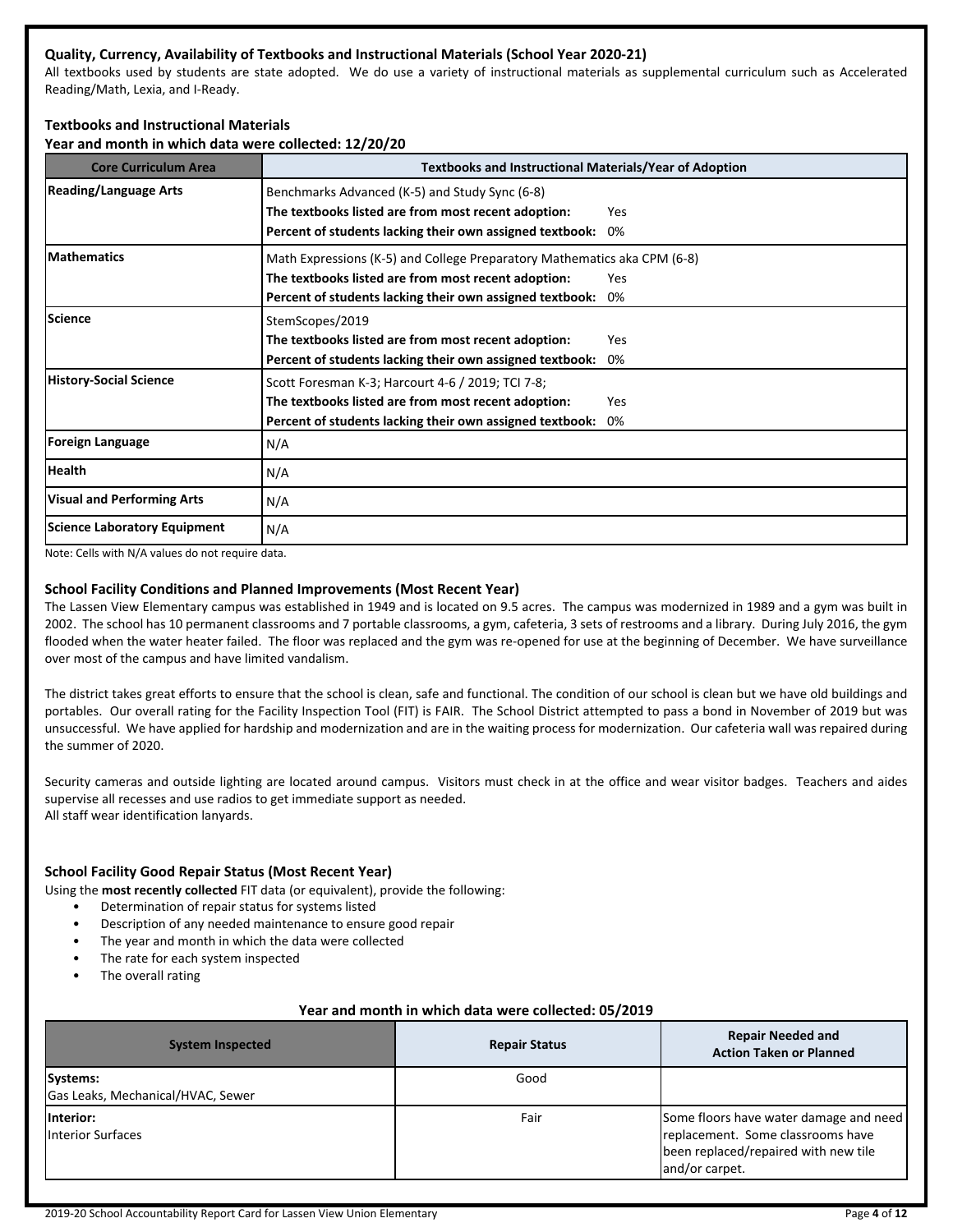## **Quality, Currency, Availability of Textbooks and Instructional Materials (School Year 2020-21)**

All textbooks used by students are state adopted. We do use a variety of instructional materials as supplemental curriculum such as Accelerated Reading/Math, Lexia, and I-Ready.

# **Textbooks and Instructional Materials**

**Year and month in which data were collected: 12/20/20**

| <b>Core Curriculum Area</b>       | <b>Textbooks and Instructional Materials/Year of Adoption</b>                                                                                                                               |           |
|-----------------------------------|---------------------------------------------------------------------------------------------------------------------------------------------------------------------------------------------|-----------|
| Reading/Language Arts             | Benchmarks Advanced (K-5) and Study Sync (6-8)<br>The textbooks listed are from most recent adoption:<br>Percent of students lacking their own assigned textbook:                           | Yes<br>0% |
| <b>IMathematics</b>               | Math Expressions (K-5) and College Preparatory Mathematics aka CPM (6-8)<br>The textbooks listed are from most recent adoption:<br>Percent of students lacking their own assigned textbook: | Yes<br>0% |
| lScience                          | StemScopes/2019<br>The textbooks listed are from most recent adoption:<br>Percent of students lacking their own assigned textbook:                                                          | Yes<br>0% |
| History-Social Science            | Scott Foresman K-3; Harcourt 4-6 / 2019; TCI 7-8;<br>The textbooks listed are from most recent adoption:<br>Percent of students lacking their own assigned textbook:                        | Yes<br>0% |
| <b>Foreign Language</b>           | N/A                                                                                                                                                                                         |           |
| Health                            | N/A                                                                                                                                                                                         |           |
| <b>Visual and Performing Arts</b> | N/A                                                                                                                                                                                         |           |
| Science Laboratory Equipment      | N/A                                                                                                                                                                                         |           |

Note: Cells with N/A values do not require data.

#### **School Facility Conditions and Planned Improvements (Most Recent Year)**

The Lassen View Elementary campus was established in 1949 and is located on 9.5 acres. The campus was modernized in 1989 and a gym was built in 2002. The school has 10 permanent classrooms and 7 portable classrooms, a gym, cafeteria, 3 sets of restrooms and a library. During July 2016, the gym flooded when the water heater failed. The floor was replaced and the gym was re-opened for use at the beginning of December. We have surveillance over most of the campus and have limited vandalism.

The district takes great efforts to ensure that the school is clean, safe and functional. The condition of our school is clean but we have old buildings and portables. Our overall rating for the Facility Inspection Tool (FIT) is FAIR. The School District attempted to pass a bond in November of 2019 but was unsuccessful. We have applied for hardship and modernization and are in the waiting process for modernization. Our cafeteria wall was repaired during the summer of 2020.

Security cameras and outside lighting are located around campus. Visitors must check in at the office and wear visitor badges. Teachers and aides supervise all recesses and use radios to get immediate support as needed. All staff wear identification lanyards.

## **School Facility Good Repair Status (Most Recent Year)**

Using the **most recently collected** FIT data (or equivalent), provide the following:

- Determination of repair status for systems listed
- Description of any needed maintenance to ensure good repair
- The year and month in which the data were collected
- The rate for each system inspected
- The overall rating

#### **Year and month in which data were collected: 05/2019**

| <b>System Inspected</b>                       | <b>Repair Status</b> | <b>Repair Needed and</b><br><b>Action Taken or Planned</b>                                                                             |
|-----------------------------------------------|----------------------|----------------------------------------------------------------------------------------------------------------------------------------|
| Systems:<br>Gas Leaks, Mechanical/HVAC, Sewer | Good                 |                                                                                                                                        |
| linterior:<br><b>Interior Surfaces</b>        | Fair                 | Some floors have water damage and need<br>replacement. Some classrooms have<br>been replaced/repaired with new tile<br>land/or carpet. |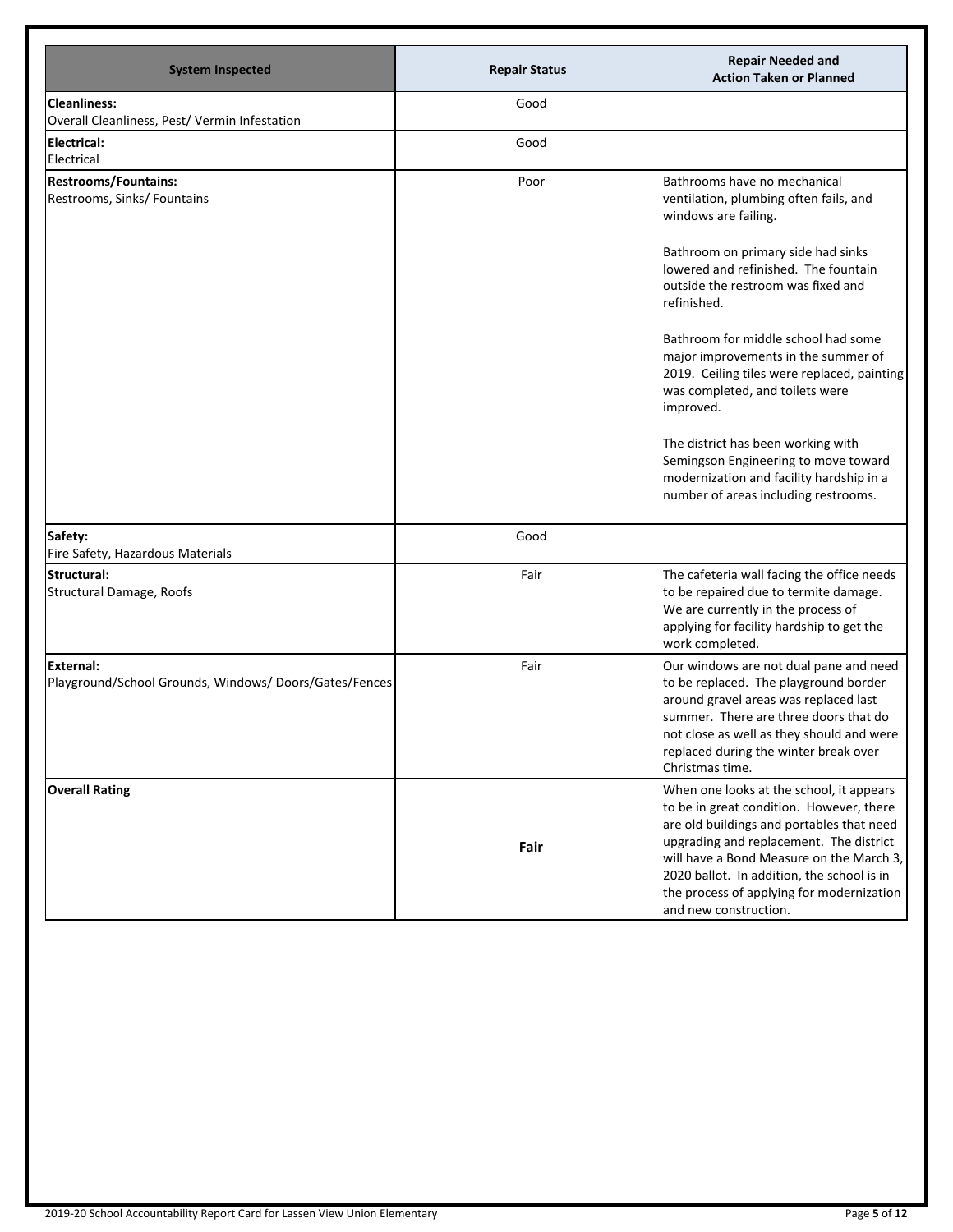| <b>System Inspected</b>                                              | <b>Repair Status</b> | <b>Repair Needed and</b><br><b>Action Taken or Planned</b>                                                                                                                                                                                                                                                                                   |
|----------------------------------------------------------------------|----------------------|----------------------------------------------------------------------------------------------------------------------------------------------------------------------------------------------------------------------------------------------------------------------------------------------------------------------------------------------|
| <b>Cleanliness:</b><br>Overall Cleanliness, Pest/ Vermin Infestation | Good                 |                                                                                                                                                                                                                                                                                                                                              |
| Electrical:<br>Electrical                                            | Good                 |                                                                                                                                                                                                                                                                                                                                              |
| <b>Restrooms/Fountains:</b><br>Restrooms, Sinks/ Fountains           | Poor                 | Bathrooms have no mechanical<br>ventilation, plumbing often fails, and<br>windows are failing.                                                                                                                                                                                                                                               |
|                                                                      |                      | Bathroom on primary side had sinks<br>lowered and refinished. The fountain<br>outside the restroom was fixed and<br>refinished.                                                                                                                                                                                                              |
|                                                                      |                      | Bathroom for middle school had some<br>major improvements in the summer of<br>2019. Ceiling tiles were replaced, painting<br>was completed, and toilets were<br>improved.                                                                                                                                                                    |
|                                                                      |                      | The district has been working with<br>Semingson Engineering to move toward<br>modernization and facility hardship in a<br>number of areas including restrooms.                                                                                                                                                                               |
| Safety:<br>Fire Safety, Hazardous Materials                          | Good                 |                                                                                                                                                                                                                                                                                                                                              |
| Structural:<br>Structural Damage, Roofs                              | Fair                 | The cafeteria wall facing the office needs<br>to be repaired due to termite damage.<br>We are currently in the process of<br>applying for facility hardship to get the<br>work completed.                                                                                                                                                    |
| External:<br>Playground/School Grounds, Windows/Doors/Gates/Fences   | Fair                 | Our windows are not dual pane and need<br>to be replaced. The playground border<br>around gravel areas was replaced last<br>summer. There are three doors that do<br>not close as well as they should and were<br>replaced during the winter break over<br>Christmas time.                                                                   |
| <b>Overall Rating</b>                                                | Fair                 | When one looks at the school, it appears<br>to be in great condition. However, there<br>are old buildings and portables that need<br>upgrading and replacement. The district<br>will have a Bond Measure on the March 3,<br>2020 ballot. In addition, the school is in<br>the process of applying for modernization<br>and new construction. |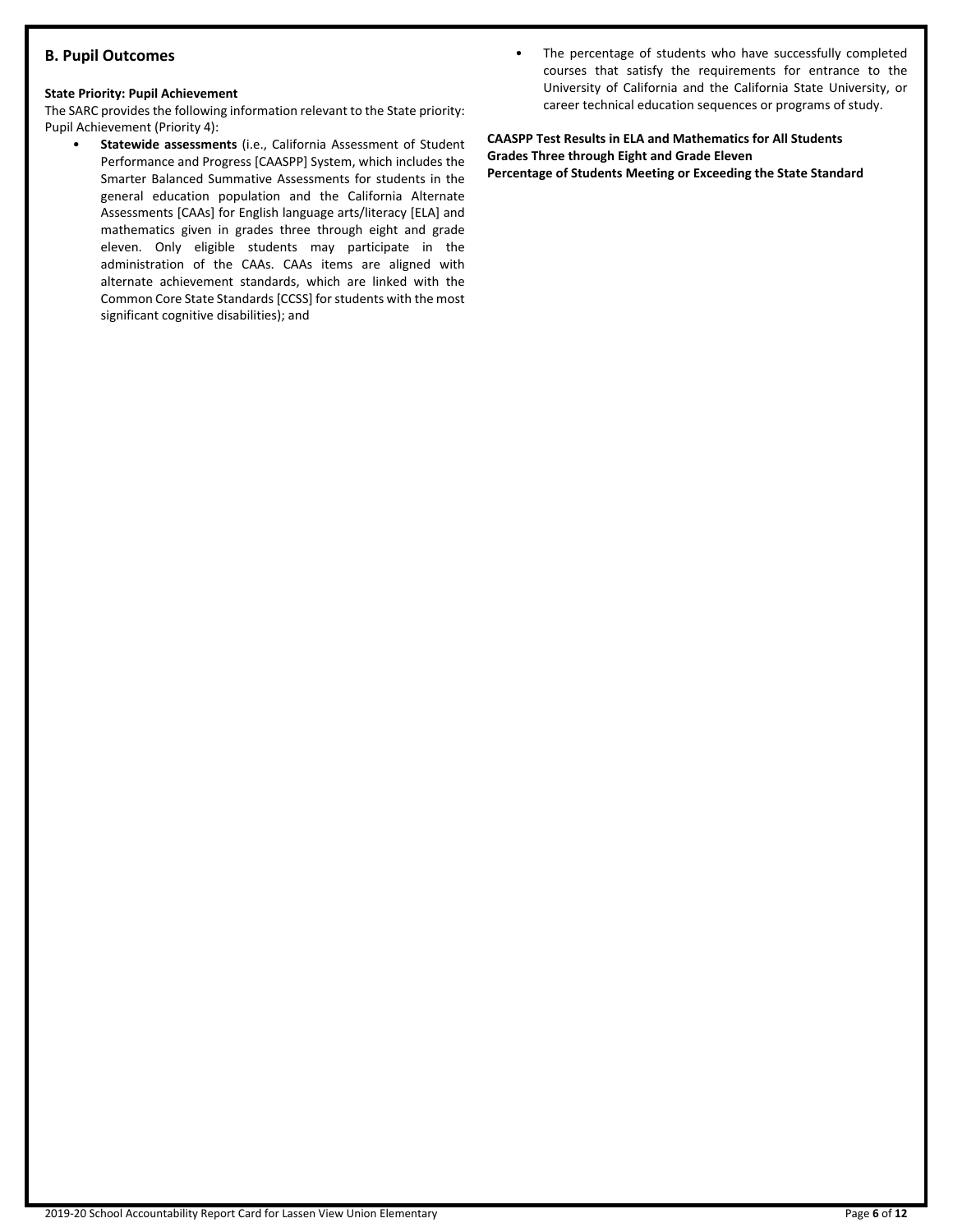# **B. Pupil Outcomes**

#### **State Priority: Pupil Achievement**

The SARC provides the following information relevant to the State priority: Pupil Achievement (Priority 4):

- **Statewide assessments** (i.e., California Assessment of Student Performance and Progress [CAASPP] System, which includes the Smarter Balanced Summative Assessments for students in the general education population and the California Alternate Assessments [CAAs] for English language arts/literacy [ELA] and mathematics given in grades three through eight and grade eleven. Only eligible students may participate in the administration of the CAAs. CAAs items are aligned with alternate achievement standards, which are linked with the Common Core State Standards [CCSS] for students with the most significant cognitive disabilities); and
- The percentage of students who have successfully completed courses that satisfy the requirements for entrance to the University of California and the California State University, or career technical education sequences or programs of study.

**CAASPP Test Results in ELA and Mathematics for All Students Grades Three through Eight and Grade Eleven Percentage of Students Meeting or Exceeding the State Standard**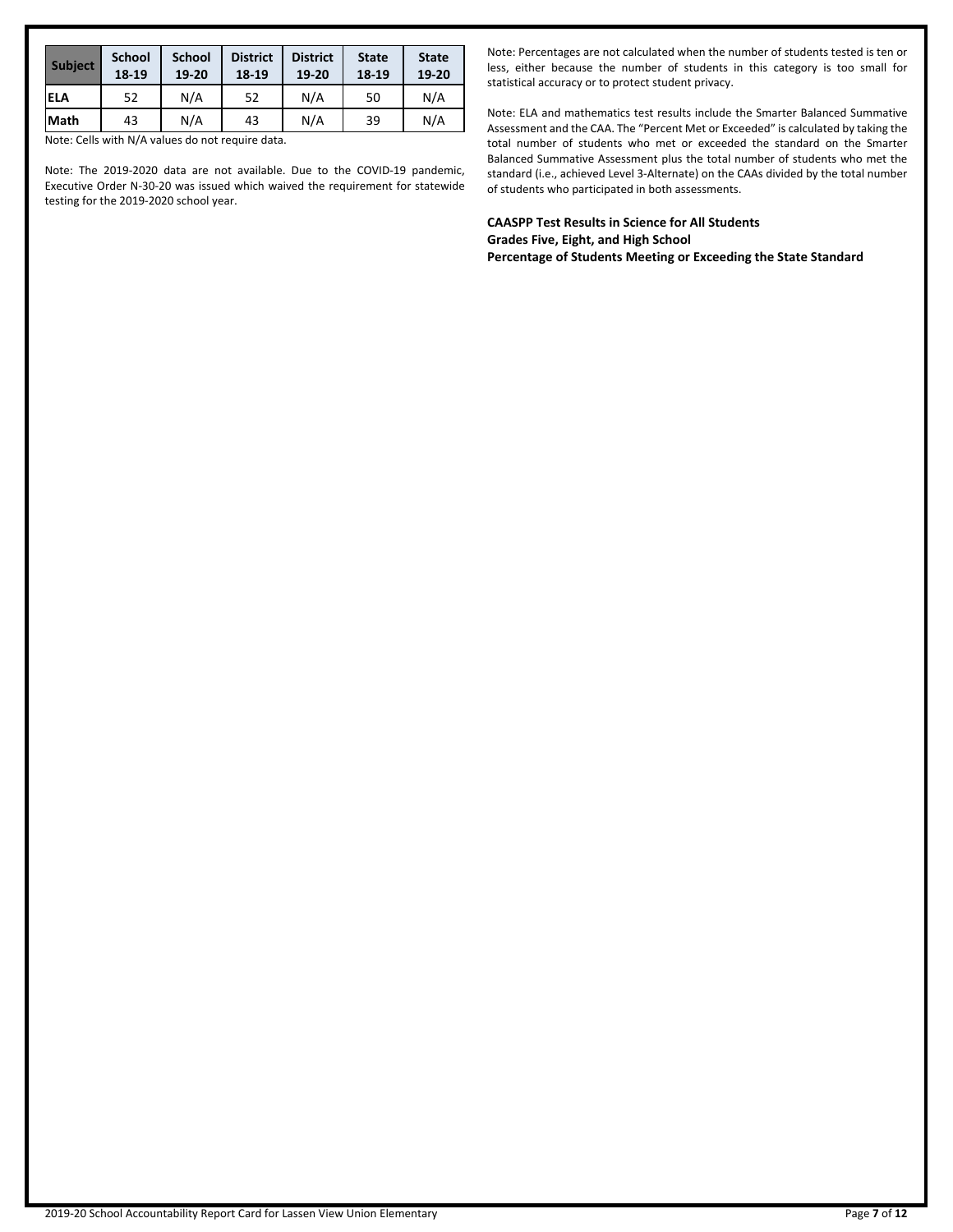| <b>Subject</b> | <b>School</b><br>18-19 | <b>School</b><br>19-20 | <b>District</b><br>18-19 | <b>District</b><br>19-20 | <b>State</b><br>18-19 | <b>State</b><br>19-20 |
|----------------|------------------------|------------------------|--------------------------|--------------------------|-----------------------|-----------------------|
| <b>ELA</b>     | 52                     | N/A                    | 52                       | N/A                      | 50                    | N/A                   |
| lMath          | 43                     | N/A                    | 43                       | N/A                      | 39                    | N/A                   |

Note: Cells with N/A values do not require data.

Note: The 2019-2020 data are not available. Due to the COVID-19 pandemic, Executive Order N-30-20 was issued which waived the requirement for statewide testing for the 2019-2020 school year.

Note: Percentages are not calculated when the number of students tested is ten or less, either because the number of students in this category is too small for statistical accuracy or to protect student privacy.

Note: ELA and mathematics test results include the Smarter Balanced Summative Assessment and the CAA. The "Percent Met or Exceeded" is calculated by taking the total number of students who met or exceeded the standard on the Smarter Balanced Summative Assessment plus the total number of students who met the standard (i.e., achieved Level 3-Alternate) on the CAAs divided by the total number of students who participated in both assessments.

**CAASPP Test Results in Science for All Students Grades Five, Eight, and High School Percentage of Students Meeting or Exceeding the State Standard**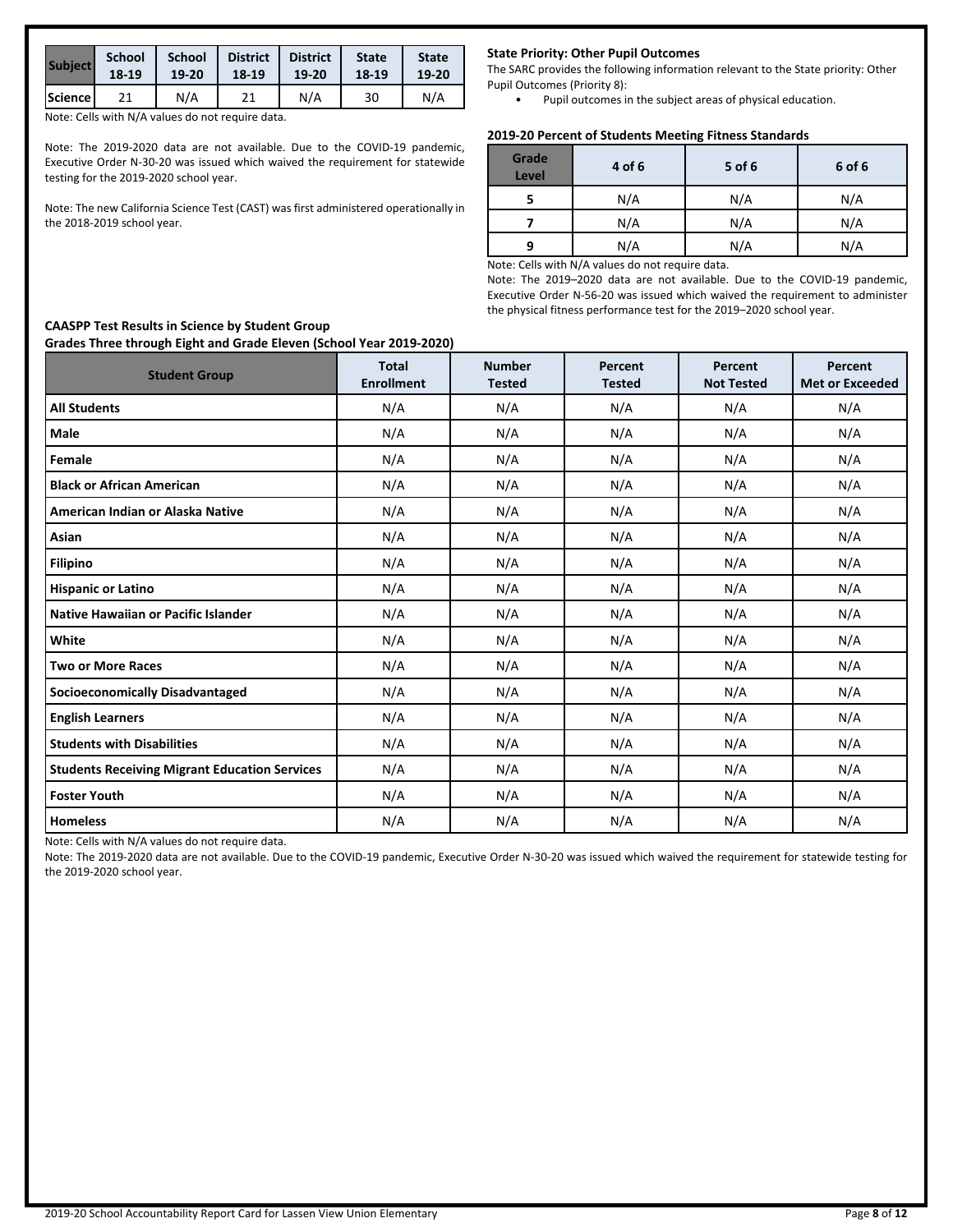| <b>Subject</b> | <b>School</b> | <b>School</b> | <b>District</b> | <b>District</b> | <b>State</b> | <b>State</b> |
|----------------|---------------|---------------|-----------------|-----------------|--------------|--------------|
|                | 18-19         | 19-20         | 18-19           | 19-20           | 18-19        | 19-20        |
| Science        |               | N/A           |                 | N/A             | 30           | N/A          |

Note: Cells with N/A values do not require data.

Note: The 2019-2020 data are not available. Due to the COVID-19 pandemic, Executive Order N-30-20 was issued which waived the requirement for statewide testing for the 2019-2020 school year.

Note: The new California Science Test (CAST) was first administered operationally in the 2018-2019 school year.

#### **State Priority: Other Pupil Outcomes**

The SARC provides the following information relevant to the State priority: Other Pupil Outcomes (Priority 8):

• Pupil outcomes in the subject areas of physical education.

#### **2019-20 Percent of Students Meeting Fitness Standards**

| Grade<br><b>Level</b> | 4 of 6 | 5 of 6 | 6 of 6 |
|-----------------------|--------|--------|--------|
|                       | N/A    | N/A    | N/A    |
|                       | N/A    | N/A    | N/A    |
| q                     | N/A    | N/A    | N/A    |

Note: Cells with N/A values do not require data.

Note: The 2019–2020 data are not available. Due to the COVID-19 pandemic, Executive Order N-56-20 was issued which waived the requirement to administer the physical fitness performance test for the 2019–2020 school year.

| <b>Student Group</b>                                 | <b>Total</b><br><b>Enrollment</b> | <b>Number</b><br><b>Tested</b> | Percent<br><b>Tested</b> | Percent<br><b>Not Tested</b> | Percent<br><b>Met or Exceeded</b> |
|------------------------------------------------------|-----------------------------------|--------------------------------|--------------------------|------------------------------|-----------------------------------|
| <b>All Students</b>                                  | N/A                               | N/A                            | N/A                      | N/A                          | N/A                               |
| Male                                                 | N/A                               | N/A                            | N/A                      | N/A                          | N/A                               |
| Female                                               | N/A                               | N/A                            | N/A                      | N/A                          | N/A                               |
| <b>Black or African American</b>                     | N/A                               | N/A                            | N/A                      | N/A                          | N/A                               |
| American Indian or Alaska Native                     | N/A                               | N/A                            | N/A                      | N/A                          | N/A                               |
| Asian                                                | N/A                               | N/A                            | N/A                      | N/A                          | N/A                               |
| <b>Filipino</b>                                      | N/A                               | N/A                            | N/A                      | N/A                          | N/A                               |
| <b>Hispanic or Latino</b>                            | N/A                               | N/A                            | N/A                      | N/A                          | N/A                               |
| Native Hawaiian or Pacific Islander                  | N/A                               | N/A                            | N/A                      | N/A                          | N/A                               |
| White                                                | N/A                               | N/A                            | N/A                      | N/A                          | N/A                               |
| <b>Two or More Races</b>                             | N/A                               | N/A                            | N/A                      | N/A                          | N/A                               |
| <b>Socioeconomically Disadvantaged</b>               | N/A                               | N/A                            | N/A                      | N/A                          | N/A                               |
| <b>English Learners</b>                              | N/A                               | N/A                            | N/A                      | N/A                          | N/A                               |
| <b>Students with Disabilities</b>                    | N/A                               | N/A                            | N/A                      | N/A                          | N/A                               |
| <b>Students Receiving Migrant Education Services</b> | N/A                               | N/A                            | N/A                      | N/A                          | N/A                               |
| <b>Foster Youth</b>                                  | N/A                               | N/A                            | N/A                      | N/A                          | N/A                               |
| <b>Homeless</b>                                      | N/A                               | N/A                            | N/A                      | N/A                          | N/A                               |

Note: Cells with N/A values do not require data.

Note: The 2019-2020 data are not available. Due to the COVID-19 pandemic, Executive Order N-30-20 was issued which waived the requirement for statewide testing for the 2019-2020 school year.

#### **CAASPP Test Results in Science by Student Group Grades Three through Eight and Grade Eleven (School Year 2019-2020)**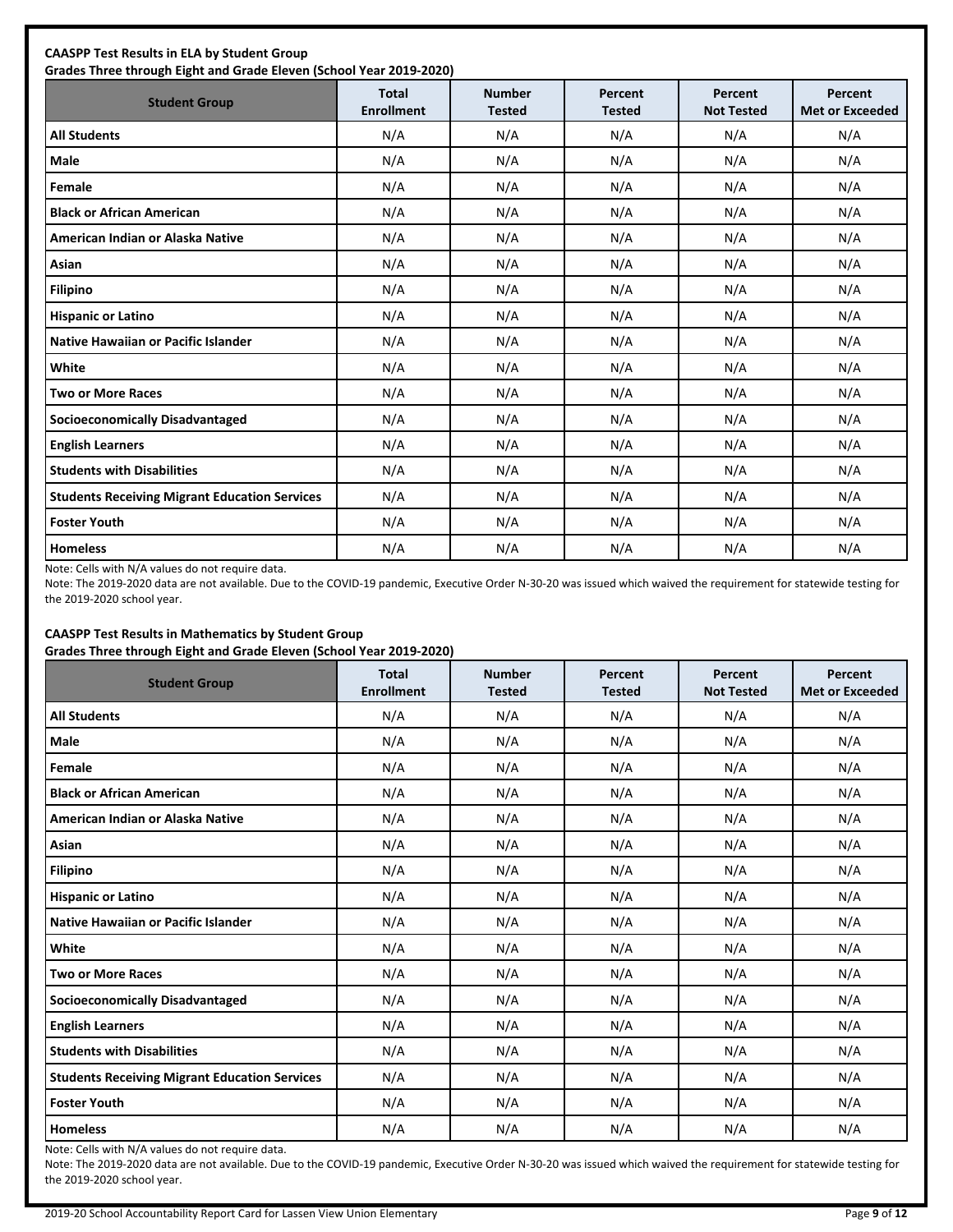| <b>CAASPP Test Results in ELA by Student Group</b><br>Grades Three through Eight and Grade Eleven (School Year 2019-2020) |                                   |                                |                          |                              |                                   |  |  |  |
|---------------------------------------------------------------------------------------------------------------------------|-----------------------------------|--------------------------------|--------------------------|------------------------------|-----------------------------------|--|--|--|
| <b>Student Group</b>                                                                                                      | <b>Total</b><br><b>Enrollment</b> | <b>Number</b><br><b>Tested</b> | Percent<br><b>Tested</b> | Percent<br><b>Not Tested</b> | Percent<br><b>Met or Exceeded</b> |  |  |  |
| <b>All Students</b>                                                                                                       | N/A                               | N/A                            | N/A                      | N/A                          | N/A                               |  |  |  |
| Male                                                                                                                      | N/A                               | N/A                            | N/A                      | N/A                          | N/A                               |  |  |  |
| Female                                                                                                                    | N/A                               | N/A                            | N/A                      | N/A                          | N/A                               |  |  |  |
| <b>Black or African American</b>                                                                                          | N/A                               | N/A                            | N/A                      | N/A                          | N/A                               |  |  |  |
| American Indian or Alaska Native                                                                                          | N/A                               | N/A                            | N/A                      | N/A                          | N/A                               |  |  |  |
| Asian                                                                                                                     | N/A                               | N/A                            | N/A                      | N/A                          | N/A                               |  |  |  |
| <b>Filipino</b>                                                                                                           | N/A                               | N/A                            | N/A                      | N/A                          | N/A                               |  |  |  |
| <b>Hispanic or Latino</b>                                                                                                 | N/A                               | N/A                            | N/A                      | N/A                          | N/A                               |  |  |  |
| Native Hawaiian or Pacific Islander                                                                                       | N/A                               | N/A                            | N/A                      | N/A                          | N/A                               |  |  |  |
| White                                                                                                                     | N/A                               | N/A                            | N/A                      | N/A                          | N/A                               |  |  |  |
| <b>Two or More Races</b>                                                                                                  | N/A                               | N/A                            | N/A                      | N/A                          | N/A                               |  |  |  |
| <b>Socioeconomically Disadvantaged</b>                                                                                    | N/A                               | N/A                            | N/A                      | N/A                          | N/A                               |  |  |  |
| <b>English Learners</b>                                                                                                   | N/A                               | N/A                            | N/A                      | N/A                          | N/A                               |  |  |  |
| <b>Students with Disabilities</b>                                                                                         | N/A                               | N/A                            | N/A                      | N/A                          | N/A                               |  |  |  |
| <b>Students Receiving Migrant Education Services</b>                                                                      | N/A                               | N/A                            | N/A                      | N/A                          | N/A                               |  |  |  |
| <b>Foster Youth</b>                                                                                                       | N/A                               | N/A                            | N/A                      | N/A                          | N/A                               |  |  |  |
| <b>Homeless</b>                                                                                                           | N/A                               | N/A                            | N/A                      | N/A                          | N/A                               |  |  |  |

Note: Cells with N/A values do not require data.

Note: The 2019-2020 data are not available. Due to the COVID-19 pandemic, Executive Order N-30-20 was issued which waived the requirement for statewide testing for the 2019-2020 school year.

#### **CAASPP Test Results in Mathematics by Student Group Grades Three through Eight and Grade Eleven (School Year 2019-2020)**

| <b>Student Group</b>                                 | <b>Total</b><br><b>Enrollment</b> | <b>Number</b><br><b>Tested</b> | Percent<br><b>Tested</b> | Percent<br><b>Not Tested</b> | Percent<br><b>Met or Exceeded</b> |
|------------------------------------------------------|-----------------------------------|--------------------------------|--------------------------|------------------------------|-----------------------------------|
| <b>All Students</b>                                  | N/A                               | N/A                            | N/A                      | N/A                          | N/A                               |
| <b>Male</b>                                          | N/A                               | N/A                            | N/A                      | N/A                          | N/A                               |
| Female                                               | N/A                               | N/A                            | N/A                      | N/A                          | N/A                               |
| <b>Black or African American</b>                     | N/A                               | N/A                            | N/A                      | N/A                          | N/A                               |
| American Indian or Alaska Native                     | N/A                               | N/A                            | N/A                      | N/A                          | N/A                               |
| Asian                                                | N/A                               | N/A                            | N/A                      | N/A                          | N/A                               |
| <b>Filipino</b>                                      | N/A                               | N/A                            | N/A                      | N/A                          | N/A                               |
| <b>Hispanic or Latino</b>                            | N/A                               | N/A                            | N/A                      | N/A                          | N/A                               |
| <b>Native Hawaiian or Pacific Islander</b>           | N/A                               | N/A                            | N/A                      | N/A                          | N/A                               |
| White                                                | N/A                               | N/A                            | N/A                      | N/A                          | N/A                               |
| <b>Two or More Races</b>                             | N/A                               | N/A                            | N/A                      | N/A                          | N/A                               |
| <b>Socioeconomically Disadvantaged</b>               | N/A                               | N/A                            | N/A                      | N/A                          | N/A                               |
| <b>English Learners</b>                              | N/A                               | N/A                            | N/A                      | N/A                          | N/A                               |
| <b>Students with Disabilities</b>                    | N/A                               | N/A                            | N/A                      | N/A                          | N/A                               |
| <b>Students Receiving Migrant Education Services</b> | N/A                               | N/A                            | N/A                      | N/A                          | N/A                               |
| <b>Foster Youth</b>                                  | N/A                               | N/A                            | N/A                      | N/A                          | N/A                               |
| <b>Homeless</b>                                      | N/A                               | N/A                            | N/A                      | N/A                          | N/A                               |

Note: Cells with N/A values do not require data.

Note: The 2019-2020 data are not available. Due to the COVID-19 pandemic, Executive Order N-30-20 was issued which waived the requirement for statewide testing for the 2019-2020 school year.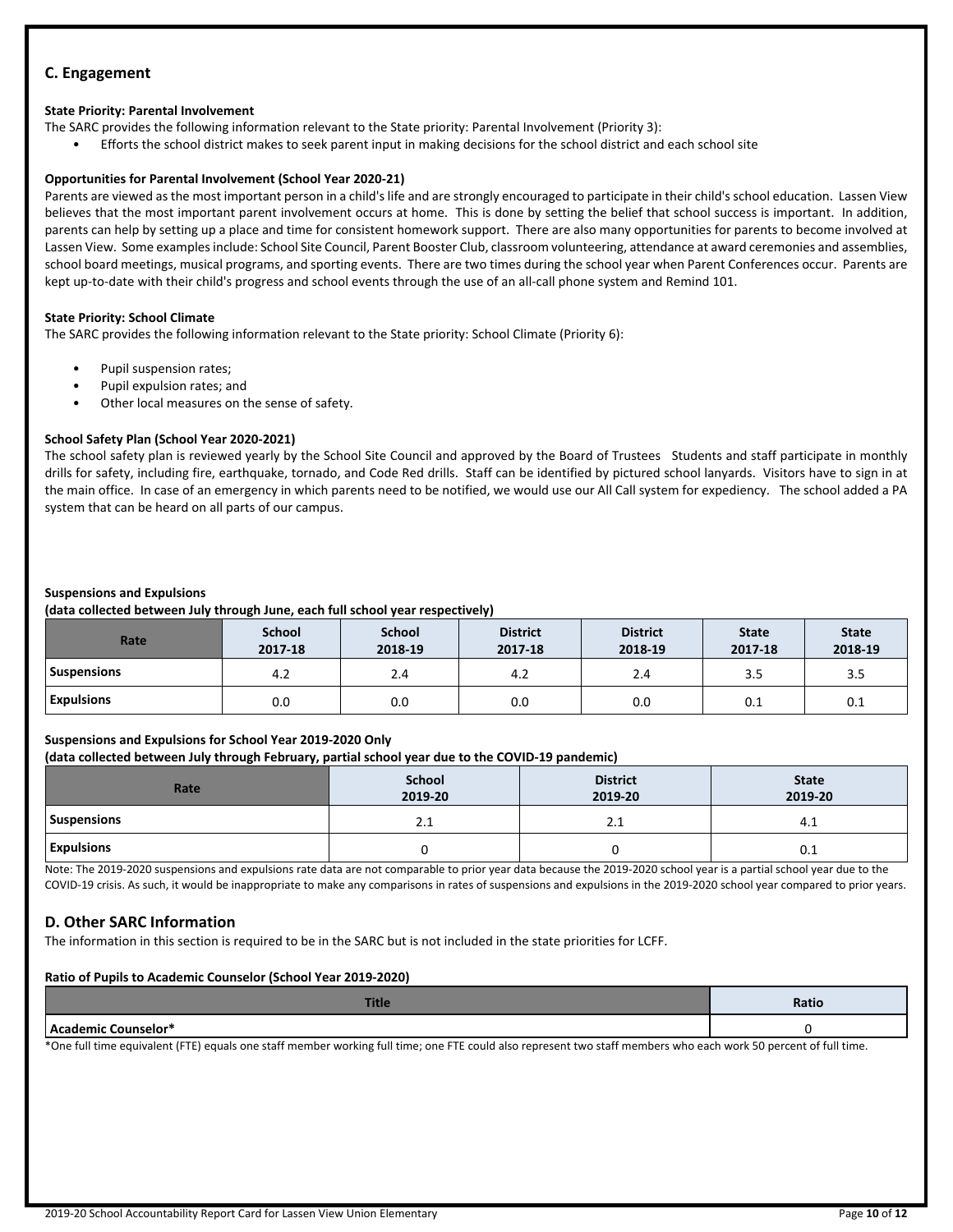# **C. Engagement**

#### **State Priority: Parental Involvement**

The SARC provides the following information relevant to the State priority: Parental Involvement (Priority 3):

• Efforts the school district makes to seek parent input in making decisions for the school district and each school site

#### **Opportunities for Parental Involvement (School Year 2020-21)**

Parents are viewed as the most important person in a child's life and are strongly encouraged to participate in their child's school education. Lassen View believes that the most important parent involvement occurs at home. This is done by setting the belief that school success is important. In addition, parents can help by setting up a place and time for consistent homework support. There are also many opportunities for parents to become involved at Lassen View. Some examplesinclude: School Site Council, Parent Booster Club, classroom volunteering, attendance at award ceremonies and assemblies, school board meetings, musical programs, and sporting events. There are two times during the school year when Parent Conferences occur. Parents are kept up-to-date with their child's progress and school events through the use of an all-call phone system and Remind 101.

#### **State Priority: School Climate**

The SARC provides the following information relevant to the State priority: School Climate (Priority 6):

- Pupil suspension rates;
- Pupil expulsion rates; and
- Other local measures on the sense of safety.

#### **School Safety Plan (School Year 2020-2021)**

The school safety plan is reviewed yearly by the School Site Council and approved by the Board of Trustees Students and staff participate in monthly drills for safety, including fire, earthquake, tornado, and Code Red drills. Staff can be identified by pictured school lanyards. Visitors have to sign in at the main office. In case of an emergency in which parents need to be notified, we would use our All Call system for expediency. The school added a PA system that can be heard on all parts of our campus.

#### **Suspensions and Expulsions**

**(data collected between July through June, each full school year respectively)**

| Rate               | <b>School</b><br>2017-18 | <b>School</b><br>2018-19 | <b>District</b><br>2017-18 | <b>District</b><br>2018-19 | <b>State</b><br>2017-18 | <b>State</b><br>2018-19 |
|--------------------|--------------------------|--------------------------|----------------------------|----------------------------|-------------------------|-------------------------|
| <b>Suspensions</b> | 4.2                      | 2.4                      | 4.2                        | 2.4                        | 3.5                     | 3.5                     |
| <b>Expulsions</b>  | 0.0                      | 0.0                      | 0.0                        | 0.0                        | 0.1                     | 0.1                     |

#### **Suspensions and Expulsions for School Year 2019-2020 Only**

**(data collected between July through February, partial school year due to the COVID-19 pandemic)**

| Rate               | School<br>2019-20 | <b>District</b><br>2019-20 | <b>State</b><br>2019-20 |
|--------------------|-------------------|----------------------------|-------------------------|
| <b>Suspensions</b> | 2.1               | 4.1                        | 4.1                     |
| <b>Expulsions</b>  |                   |                            | U.I                     |

Note: The 2019-2020 suspensions and expulsions rate data are not comparable to prior year data because the 2019-2020 school year is a partial school year due to the COVID-19 crisis. As such, it would be inappropriate to make any comparisons in rates of suspensions and expulsions in the 2019-2020 school year compared to prior years.

#### **D. Other SARC Information**

The information in this section is required to be in the SARC but is not included in the state priorities for LCFF.

#### **Ratio of Pupils to Academic Counselor (School Year 2019-2020)**

| Ratio |
|-------|
|       |

\*One full time equivalent (FTE) equals one staff member working full time; one FTE could also represent two staff members who each work 50 percent of full time.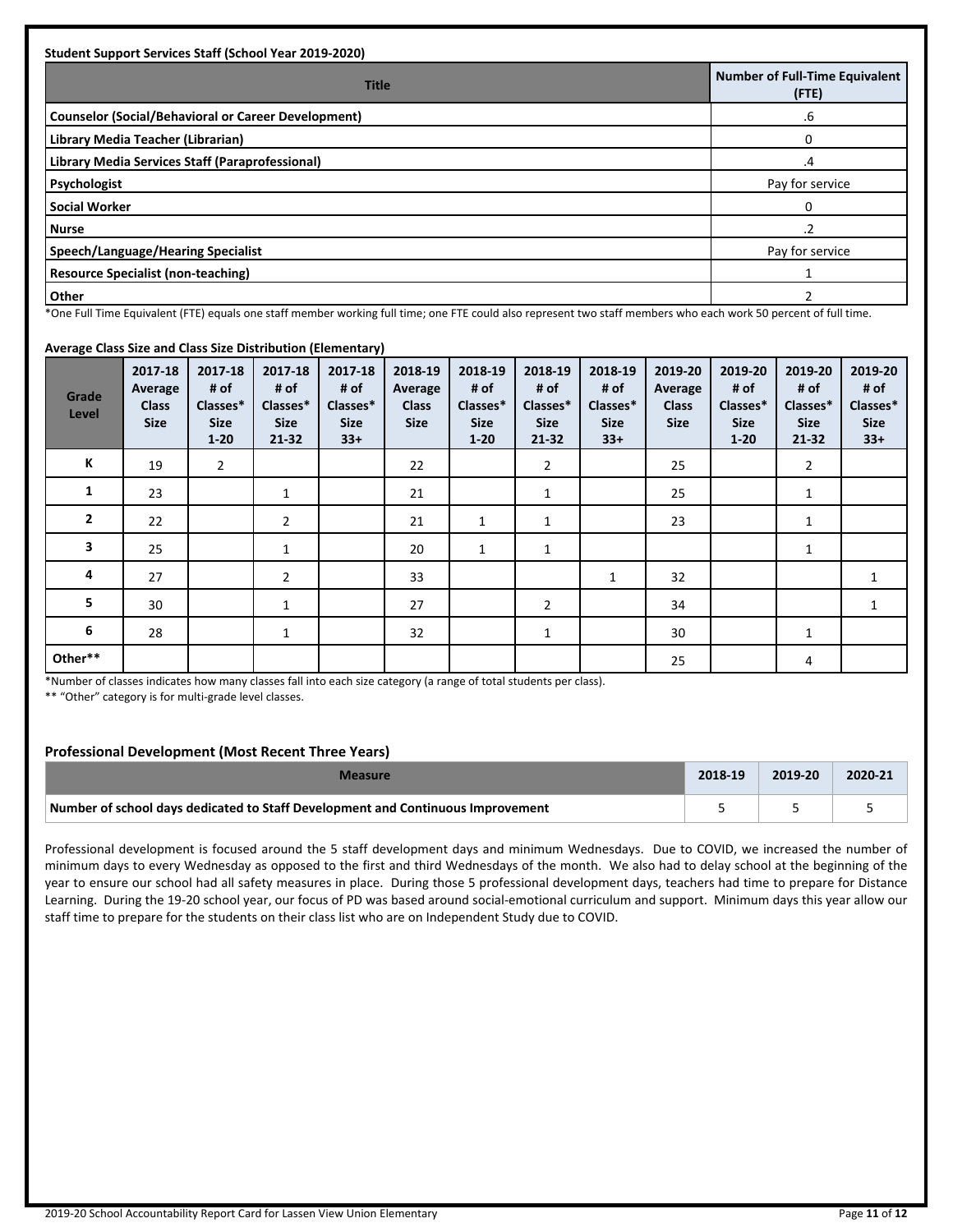| <b>Title</b>                                        | <b>Number of Full-Time Equivalent</b><br>(FTE) |
|-----------------------------------------------------|------------------------------------------------|
| Counselor (Social/Behavioral or Career Development) | .6                                             |
| Library Media Teacher (Librarian)                   |                                                |
| Library Media Services Staff (Paraprofessional)     | .4                                             |
| Psychologist                                        | Pay for service                                |
| Social Worker                                       |                                                |
| Nurse                                               |                                                |
| Speech/Language/Hearing Specialist                  | Pay for service                                |
| <b>Resource Specialist (non-teaching)</b>           |                                                |
| Other                                               |                                                |

\*One Full Time Equivalent (FTE) equals one staff member working full time; one FTE could also represent two staff members who each work 50 percent of full time.

#### **Average Class Size and Class Size Distribution (Elementary)**

| Grade<br>Level | 2017-18<br>Average<br><b>Class</b><br><b>Size</b> | 2017-18<br># of<br>Classes*<br><b>Size</b><br>$1 - 20$ | 2017-18<br># of<br>Classes*<br><b>Size</b><br>$21 - 32$ | <u>.,</u><br>2017-18<br># of<br>Classes*<br><b>Size</b><br>$33+$ | 2018-19<br>Average<br><b>Class</b><br><b>Size</b> | 2018-19<br># of<br>Classes*<br><b>Size</b><br>$1 - 20$ | 2018-19<br># of<br>Classes*<br><b>Size</b><br>$21 - 32$ | 2018-19<br># of<br>Classes*<br><b>Size</b><br>$33+$ | 2019-20<br>Average<br><b>Class</b><br><b>Size</b> | 2019-20<br># of<br>Classes*<br><b>Size</b><br>$1 - 20$ | 2019-20<br># of<br>Classes*<br><b>Size</b><br>21-32 | 2019-20<br># of<br>Classes*<br><b>Size</b><br>$33+$ |
|----------------|---------------------------------------------------|--------------------------------------------------------|---------------------------------------------------------|------------------------------------------------------------------|---------------------------------------------------|--------------------------------------------------------|---------------------------------------------------------|-----------------------------------------------------|---------------------------------------------------|--------------------------------------------------------|-----------------------------------------------------|-----------------------------------------------------|
| К              | 19                                                | $\overline{2}$                                         |                                                         |                                                                  | 22                                                |                                                        | $\overline{2}$                                          |                                                     | 25                                                |                                                        | $\overline{2}$                                      |                                                     |
| 1              | 23                                                |                                                        | 1                                                       |                                                                  | 21                                                |                                                        | $\mathbf{1}$                                            |                                                     | 25                                                |                                                        | 1                                                   |                                                     |
| $\overline{2}$ | 22                                                |                                                        | $\overline{2}$                                          |                                                                  | 21                                                | 1                                                      | $\mathbf{1}$                                            |                                                     | 23                                                |                                                        | 1                                                   |                                                     |
| 3              | 25                                                |                                                        | $\mathbf{1}$                                            |                                                                  | 20                                                | $\mathbf{1}$                                           | $\mathbf{1}$                                            |                                                     |                                                   |                                                        | $\mathbf{1}$                                        |                                                     |
| 4              | 27                                                |                                                        | $\overline{2}$                                          |                                                                  | 33                                                |                                                        |                                                         | 1                                                   | 32                                                |                                                        |                                                     | $\mathbf{1}$                                        |
| 5              | 30                                                |                                                        | 1                                                       |                                                                  | 27                                                |                                                        | $\overline{2}$                                          |                                                     | 34                                                |                                                        |                                                     | $\mathbf{1}$                                        |
| 6              | 28                                                |                                                        | $\mathbf{1}$                                            |                                                                  | 32                                                |                                                        | 1                                                       |                                                     | 30                                                |                                                        | 1                                                   |                                                     |
| Other**        |                                                   |                                                        |                                                         |                                                                  |                                                   |                                                        |                                                         |                                                     | 25                                                |                                                        | 4                                                   |                                                     |

\*Number of classes indicates how many classes fall into each size category (a range of total students per class).

\*\* "Other" category is for multi-grade level classes.

#### **Professional Development (Most Recent Three Years)**

| Measure                                                                         | 2018-19 | 2019-20 | 2020-21 |
|---------------------------------------------------------------------------------|---------|---------|---------|
| Number of school days dedicated to Staff Development and Continuous Improvement |         |         |         |

Professional development is focused around the 5 staff development days and minimum Wednesdays. Due to COVID, we increased the number of minimum days to every Wednesday as opposed to the first and third Wednesdays of the month. We also had to delay school at the beginning of the year to ensure our school had all safety measures in place. During those 5 professional development days, teachers had time to prepare for Distance Learning. During the 19-20 school year, our focus of PD was based around social-emotional curriculum and support. Minimum days this year allow our staff time to prepare for the students on their class list who are on Independent Study due to COVID.